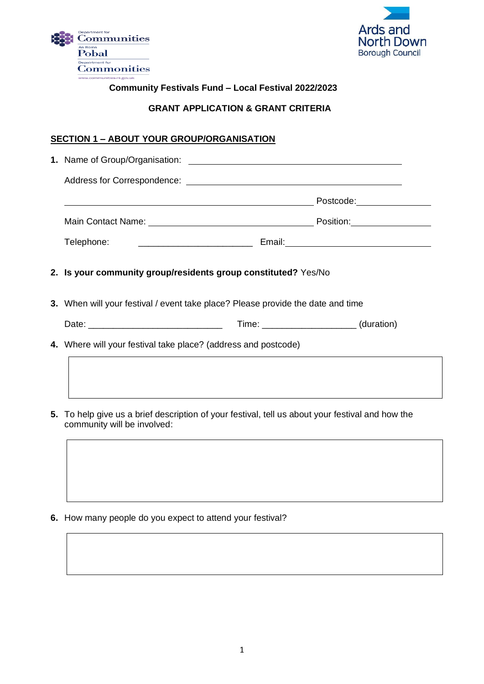



## **Community Festivals Fund – Local Festival 2022/2023**

#### **GRANT APPLICATION & GRANT CRITERIA**

## **SECTION 1 – ABOUT YOUR GROUP/ORGANISATION**

| Telephone: ___________________________________ Email:___________________________                                                |  |  |  |
|---------------------------------------------------------------------------------------------------------------------------------|--|--|--|
| 2. Is your community group/residents group constituted? Yes/No                                                                  |  |  |  |
| 3. When will your festival / event take place? Please provide the date and time                                                 |  |  |  |
|                                                                                                                                 |  |  |  |
| 4. Where will your festival take place? (address and postcode)                                                                  |  |  |  |
|                                                                                                                                 |  |  |  |
| 5. To help give us a brief description of your festival, tell us about your festival and how the<br>community will be involved: |  |  |  |

**6.** How many people do you expect to attend your festival?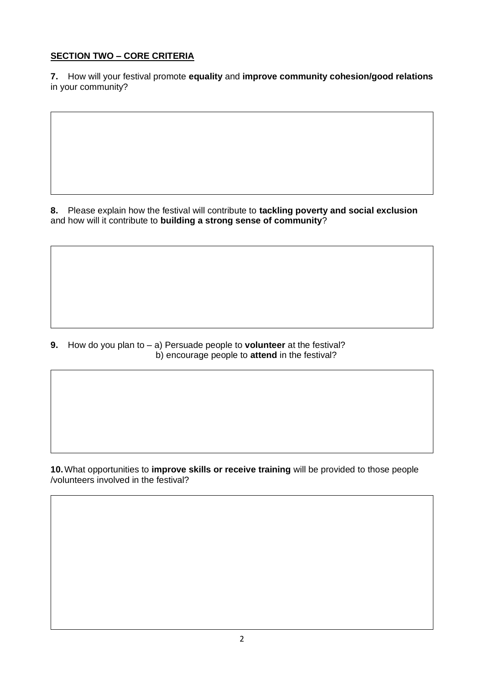## **SECTION TWO – CORE CRITERIA**

**7.** How will your festival promote **equality** and **improve community cohesion/good relations** in your community?

**8.** Please explain how the festival will contribute to **tackling poverty and social exclusion** and how will it contribute to **building a strong sense of community**?

**9.** How do you plan to – a) Persuade people to **volunteer** at the festival? b) encourage people to **attend** in the festival?

**10.**What opportunities to **improve skills or receive training** will be provided to those people /volunteers involved in the festival?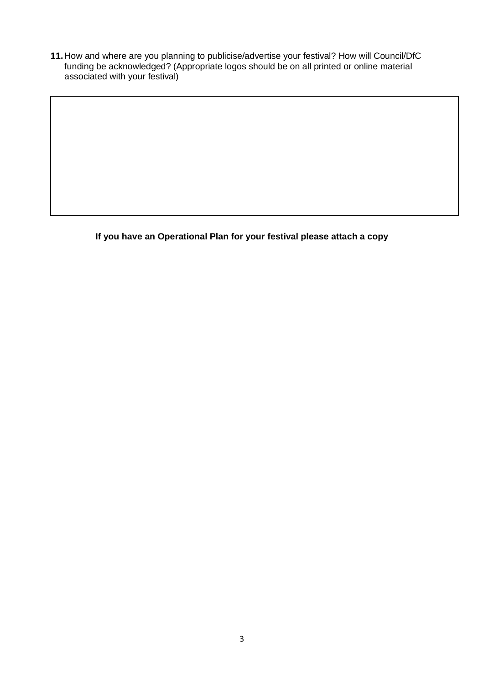**11.**How and where are you planning to publicise/advertise your festival? How will Council/DfC funding be acknowledged? (Appropriate logos should be on all printed or online material associated with your festival)

**If you have an Operational Plan for your festival please attach a copy**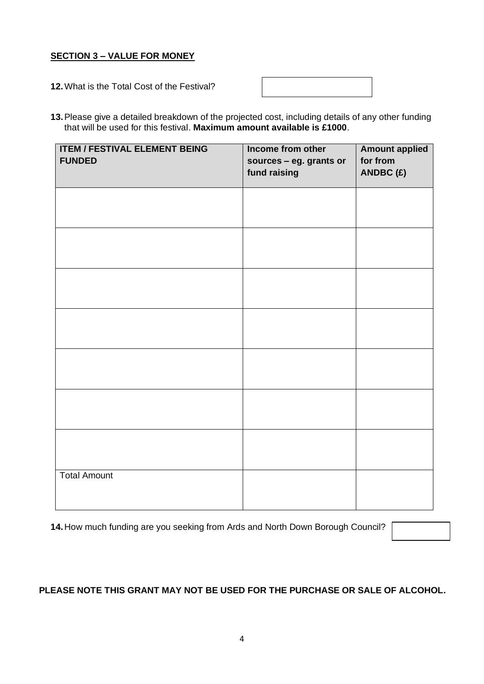### **SECTION 3 – VALUE FOR MONEY**

**12.**What is the Total Cost of the Festival?

**13.**Please give a detailed breakdown of the projected cost, including details of any other funding that will be used for this festival. **Maximum amount available is £1000**.

| <b>ITEM / FESTIVAL ELEMENT BEING</b><br><b>FUNDED</b> | Income from other<br>sources - eg. grants or<br>fund raising | <b>Amount applied</b><br>for from<br>ANDBC(£) |
|-------------------------------------------------------|--------------------------------------------------------------|-----------------------------------------------|
|                                                       |                                                              |                                               |
|                                                       |                                                              |                                               |
|                                                       |                                                              |                                               |
|                                                       |                                                              |                                               |
|                                                       |                                                              |                                               |
|                                                       |                                                              |                                               |
|                                                       |                                                              |                                               |
| <b>Total Amount</b>                                   |                                                              |                                               |

**14.**How much funding are you seeking from Ards and North Down Borough Council?

### **PLEASE NOTE THIS GRANT MAY NOT BE USED FOR THE PURCHASE OR SALE OF ALCOHOL.**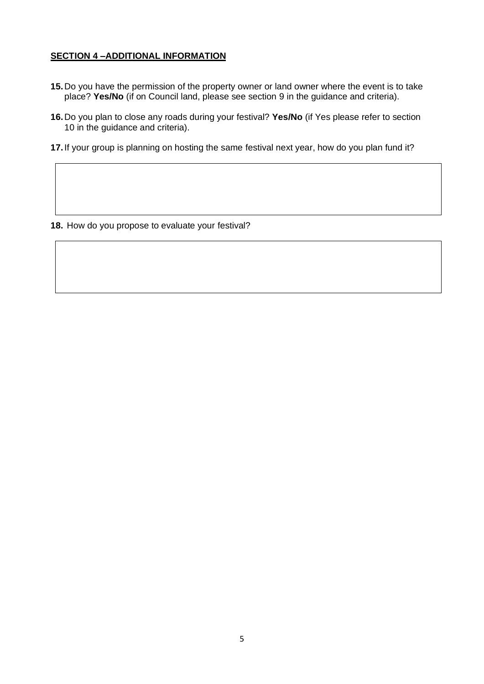#### **SECTION 4 –ADDITIONAL INFORMATION**

- **15.**Do you have the permission of the property owner or land owner where the event is to take place? **Yes/No** (if on Council land, please see section 9 in the guidance and criteria).
- **16.**Do you plan to close any roads during your festival? **Yes/No** (if Yes please refer to section 10 in the guidance and criteria).
- **17.**If your group is planning on hosting the same festival next year, how do you plan fund it?

**18.** How do you propose to evaluate your festival?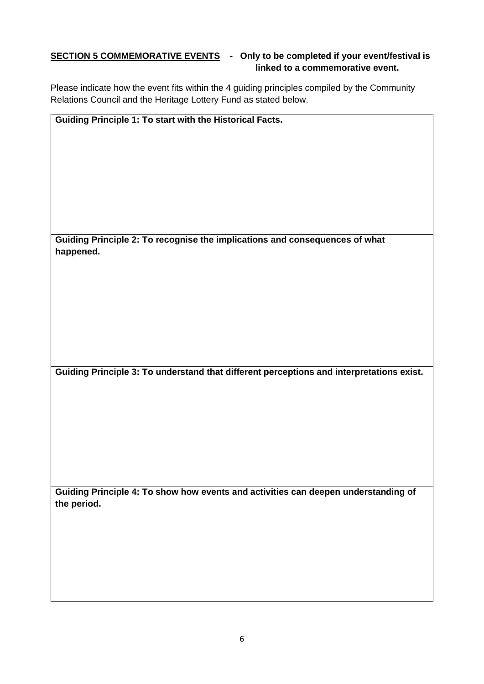### **SECTION 5 COMMEMORATIVE EVENTS** - Only to be completed if your event/festival is **linked to a commemorative event.**

Please indicate how the event fits within the 4 guiding principles compiled by the Community Relations Council and the Heritage Lottery Fund as stated below.

| Guiding Principle 1: To start with the Historical Facts.                    |  |
|-----------------------------------------------------------------------------|--|
|                                                                             |  |
|                                                                             |  |
|                                                                             |  |
|                                                                             |  |
|                                                                             |  |
|                                                                             |  |
|                                                                             |  |
|                                                                             |  |
|                                                                             |  |
| Guiding Principle 2: To recognise the implications and consequences of what |  |
| happened.                                                                   |  |
|                                                                             |  |
|                                                                             |  |
|                                                                             |  |
|                                                                             |  |
|                                                                             |  |
|                                                                             |  |

**Guiding Principle 3: To understand that different perceptions and interpretations exist.**

**Guiding Principle 4: To show how events and activities can deepen understanding of the period.**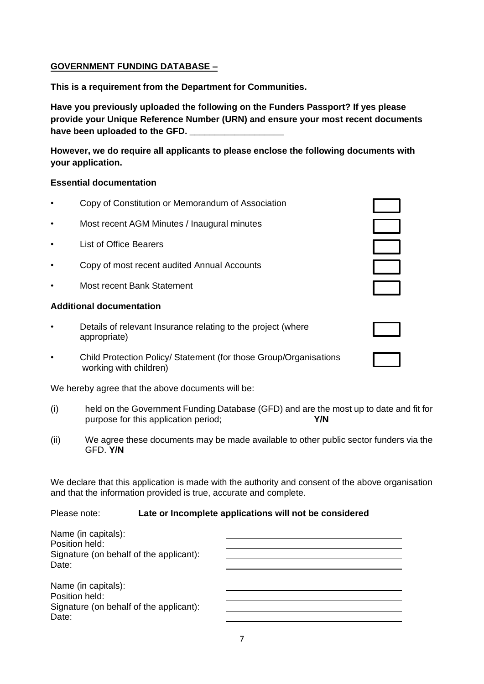# **GOVERNMENT FUNDING DATABASE –**

**This is a requirement from the Department for Communities.**

**Have you previously uploaded the following on the Funders Passport? If yes please provide your Unique Reference Number (URN) and ensure your most recent documents**  have been uploaded to the GFD.

**However, we do require all applicants to please enclose the following documents with your application.**

## **Essential documentation**

- Copy of Constitution or Memorandum of Association
- Most recent AGM Minutes / Inaugural minutes
- **List of Office Bearers**
- Copy of most recent audited Annual Accounts
- Most recent Bank Statement

### **Additional documentation**

- Details of relevant Insurance relating to the project (where appropriate)
- Child Protection Policy/ Statement (for those Group/Organisations working with children)

We hereby agree that the above documents will be:

- (i) held on the Government Funding Database (GFD) and are the most up to date and fit for purpose for this application period; **Y/N**
- (ii) We agree these documents may be made available to other public sector funders via the GFD. **Y/N**

We declare that this application is made with the authority and consent of the above organisation and that the information provided is true, accurate and complete.

## Please note: **Late or Incomplete applications will not be considered**

| Name (in capitals):                     |  |
|-----------------------------------------|--|
| Position held:                          |  |
| Signature (on behalf of the applicant): |  |
| Date:                                   |  |
|                                         |  |
| Name (in capitals):                     |  |
| Position held:                          |  |
| Signature (on behalf of the applicant): |  |
| Date:                                   |  |
|                                         |  |

| $\overline{a}$ |  |
|----------------|--|
|                |  |
|                |  |
|                |  |
|                |  |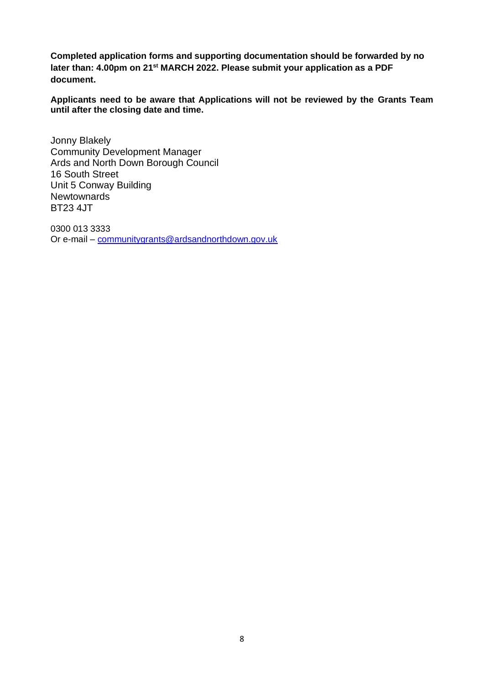**Completed application forms and supporting documentation should be forwarded by no later than: 4.00pm on 21st MARCH 2022. Please submit your application as a PDF document.**

**Applicants need to be aware that Applications will not be reviewed by the Grants Team until after the closing date and time.**

Jonny Blakely Community Development Manager Ards and North Down Borough Council 16 South Street Unit 5 Conway Building **Newtownards** BT23 4JT

0300 013 3333 Or e-mail – [communitygrants@ardsandnorthdown.gov.uk](mailto:communitygrants@ardsandnorthdown.gov.uk)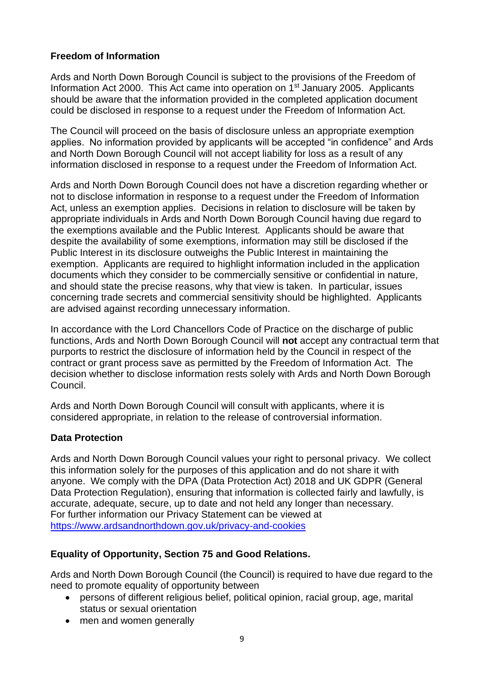## **Freedom of Information**

Ards and North Down Borough Council is subject to the provisions of the Freedom of Information Act 2000. This Act came into operation on 1st January 2005. Applicants should be aware that the information provided in the completed application document could be disclosed in response to a request under the Freedom of Information Act.

The Council will proceed on the basis of disclosure unless an appropriate exemption applies. No information provided by applicants will be accepted "in confidence" and Ards and North Down Borough Council will not accept liability for loss as a result of any information disclosed in response to a request under the Freedom of Information Act.

Ards and North Down Borough Council does not have a discretion regarding whether or not to disclose information in response to a request under the Freedom of Information Act, unless an exemption applies. Decisions in relation to disclosure will be taken by appropriate individuals in Ards and North Down Borough Council having due regard to the exemptions available and the Public Interest. Applicants should be aware that despite the availability of some exemptions, information may still be disclosed if the Public Interest in its disclosure outweighs the Public Interest in maintaining the exemption. Applicants are required to highlight information included in the application documents which they consider to be commercially sensitive or confidential in nature, and should state the precise reasons, why that view is taken. In particular, issues concerning trade secrets and commercial sensitivity should be highlighted. Applicants are advised against recording unnecessary information.

In accordance with the Lord Chancellors Code of Practice on the discharge of public functions, Ards and North Down Borough Council will **not** accept any contractual term that purports to restrict the disclosure of information held by the Council in respect of the contract or grant process save as permitted by the Freedom of Information Act. The decision whether to disclose information rests solely with Ards and North Down Borough Council.

Ards and North Down Borough Council will consult with applicants, where it is considered appropriate, in relation to the release of controversial information.

## **Data Protection**

Ards and North Down Borough Council values your right to personal privacy. We collect this information solely for the purposes of this application and do not share it with anyone. We comply with the DPA (Data Protection Act) 2018 and UK GDPR (General Data Protection Regulation), ensuring that information is collected fairly and lawfully, is accurate, adequate, secure, up to date and not held any longer than necessary**.**  For further information our Privacy Statement can be viewed at [https://www.ardsandnorthdown.gov.uk/privacy-and-cookies](https://eur01.safelinks.protection.outlook.com/?url=https%3A%2F%2Fwww.ardsandnorthdown.gov.uk%2Fprivacy-and-cookies&data=04%7C01%7Canne.lendrum%40ardsandnorthdown.gov.uk%7Cf720ee16c62c4f7d4c7708d9e00d3fb2%7C39416dee5c8e4f5cb59d05c4bd0dd472%7C0%7C0%7C637787169765990001%7CUnknown%7CTWFpbGZsb3d8eyJWIjoiMC4wLjAwMDAiLCJQIjoiV2luMzIiLCJBTiI6Ik1haWwiLCJXVCI6Mn0%3D%7C3000&sdata=BuZ76ilI40Ef%2B7Kk4E62iBYfc5pkLJFDmZD8Xs58Z98%3D&reserved=0)

# **Equality of Opportunity, Section 75 and Good Relations.**

Ards and North Down Borough Council (the Council) is required to have due regard to the need to promote equality of opportunity between

- persons of different religious belief, political opinion, racial group, age, marital status or sexual orientation
- men and women generally